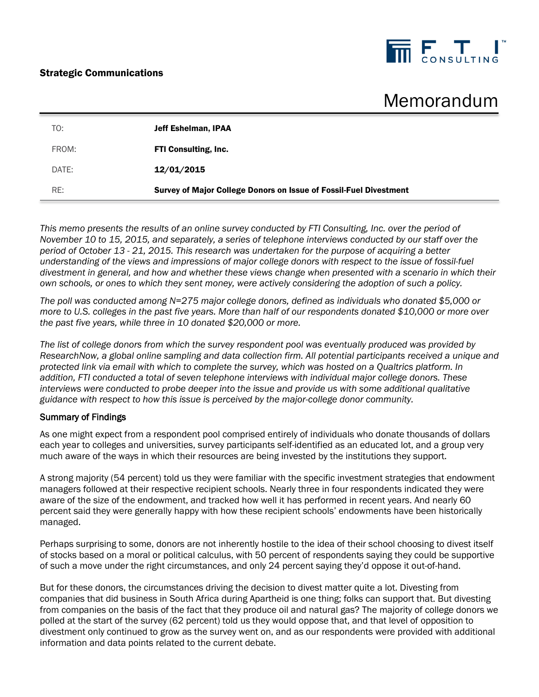## Strategic Communications



# Memorandum

| TO:   | <b>Jeff Eshelman, IPAA</b>                                        |
|-------|-------------------------------------------------------------------|
| FROM: | <b>FTI Consulting, Inc.</b>                                       |
| DATE: | 12/01/2015                                                        |
| RE:   | Survey of Major College Donors on Issue of Fossil-Fuel Divestment |

*This memo presents the results of an online survey conducted by FTI Consulting, Inc. over the period of November 10 to 15, 2015, and separately, a series of telephone interviews conducted by our staff over the period of October 13 - 21, 2015. This research was undertaken for the purpose of acquiring a better understanding of the views and impressions of major college donors with respect to the issue of fossil-fuel divestment in general, and how and whether these views change when presented with a scenario in which their own schools, or ones to which they sent money, were actively considering the adoption of such a policy.*

*The poll was conducted among N=275 major college donors, defined as individuals who donated \$5,000 or more to U.S. colleges in the past five years. More than half of our respondents donated \$10,000 or more over the past five years, while three in 10 donated \$20,000 or more.* 

*The list of college donors from which the survey respondent pool was eventually produced was provided by ResearchNow, a global online sampling and data collection firm. All potential participants received a unique and protected link via email with which to complete the survey, which was hosted on a Qualtrics platform. In addition, FTI conducted a total of seven telephone interviews with individual major college donors. These interviews were conducted to probe deeper into the issue and provide us with some additional qualitative guidance with respect to how this issue is perceived by the major-college donor community.*

#### Summary of Findings

As one might expect from a respondent pool comprised entirely of individuals who donate thousands of dollars each year to colleges and universities, survey participants self-identified as an educated lot, and a group very much aware of the ways in which their resources are being invested by the institutions they support.

A strong majority (54 percent) told us they were familiar with the specific investment strategies that endowment managers followed at their respective recipient schools. Nearly three in four respondents indicated they were aware of the size of the endowment, and tracked how well it has performed in recent years. And nearly 60 percent said they were generally happy with how these recipient schools' endowments have been historically managed.

Perhaps surprising to some, donors are not inherently hostile to the idea of their school choosing to divest itself of stocks based on a moral or political calculus, with 50 percent of respondents saying they could be supportive of such a move under the right circumstances, and only 24 percent saying they'd oppose it out-of-hand.

But for these donors, the circumstances driving the decision to divest matter quite a lot. Divesting from companies that did business in South Africa during Apartheid is one thing; folks can support that. But divesting from companies on the basis of the fact that they produce oil and natural gas? The majority of college donors we polled at the start of the survey (62 percent) told us they would oppose that, and that level of opposition to divestment only continued to grow as the survey went on, and as our respondents were provided with additional information and data points related to the current debate.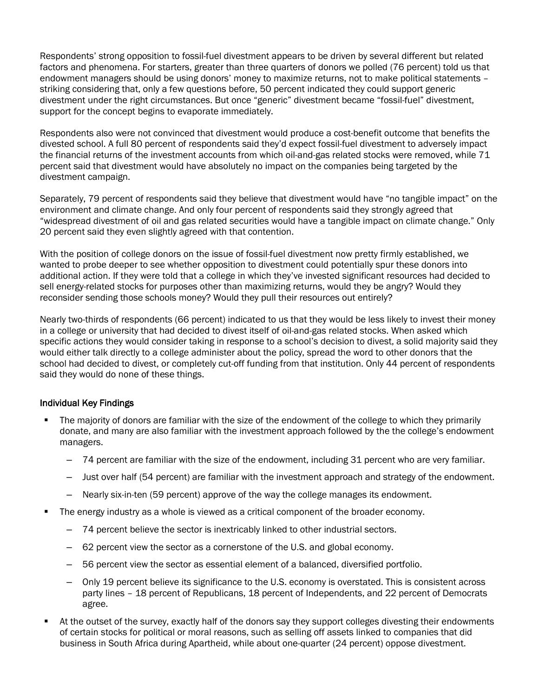Respondents' strong opposition to fossil-fuel divestment appears to be driven by several different but related factors and phenomena. For starters, greater than three quarters of donors we polled (76 percent) told us that endowment managers should be using donors' money to maximize returns, not to make political statements – striking considering that, only a few questions before, 50 percent indicated they could support generic divestment under the right circumstances. But once "generic" divestment became "fossil-fuel" divestment, support for the concept begins to evaporate immediately.

Respondents also were not convinced that divestment would produce a cost-benefit outcome that benefits the divested school. A full 80 percent of respondents said they'd expect fossil-fuel divestment to adversely impact the financial returns of the investment accounts from which oil-and-gas related stocks were removed, while 71 percent said that divestment would have absolutely no impact on the companies being targeted by the divestment campaign.

Separately, 79 percent of respondents said they believe that divestment would have "no tangible impact" on the environment and climate change. And only four percent of respondents said they strongly agreed that "widespread divestment of oil and gas related securities would have a tangible impact on climate change." Only 20 percent said they even slightly agreed with that contention.

With the position of college donors on the issue of fossil-fuel divestment now pretty firmly established, we wanted to probe deeper to see whether opposition to divestment could potentially spur these donors into additional action. If they were told that a college in which they've invested significant resources had decided to sell energy-related stocks for purposes other than maximizing returns, would they be angry? Would they reconsider sending those schools money? Would they pull their resources out entirely?

Nearly two-thirds of respondents (66 percent) indicated to us that they would be less likely to invest their money in a college or university that had decided to divest itself of oil-and-gas related stocks. When asked which specific actions they would consider taking in response to a school's decision to divest, a solid majority said they would either talk directly to a college administer about the policy, spread the word to other donors that the school had decided to divest, or completely cut-off funding from that institution. Only 44 percent of respondents said they would do none of these things.

### Individual Key Findings

- The majority of donors are familiar with the size of the endowment of the college to which they primarily donate, and many are also familiar with the investment approach followed by the the college's endowment managers.
	- ‒ 74 percent are familiar with the size of the endowment, including 31 percent who are very familiar.
	- ‒ Just over half (54 percent) are familiar with the investment approach and strategy of the endowment.
	- ‒ Nearly six-in-ten (59 percent) approve of the way the college manages its endowment.
- The energy industry as a whole is viewed as a critical component of the broader economy.
	- ‒ 74 percent believe the sector is inextricably linked to other industrial sectors.
	- ‒ 62 percent view the sector as a cornerstone of the U.S. and global economy.
	- ‒ 56 percent view the sector as essential element of a balanced, diversified portfolio.
	- ‒ Only 19 percent believe its significance to the U.S. economy is overstated. This is consistent across party lines – 18 percent of Republicans, 18 percent of Independents, and 22 percent of Democrats agree.
- At the outset of the survey, exactly half of the donors say they support colleges divesting their endowments of certain stocks for political or moral reasons, such as selling off assets linked to companies that did business in South Africa during Apartheid, while about one-quarter (24 percent) oppose divestment.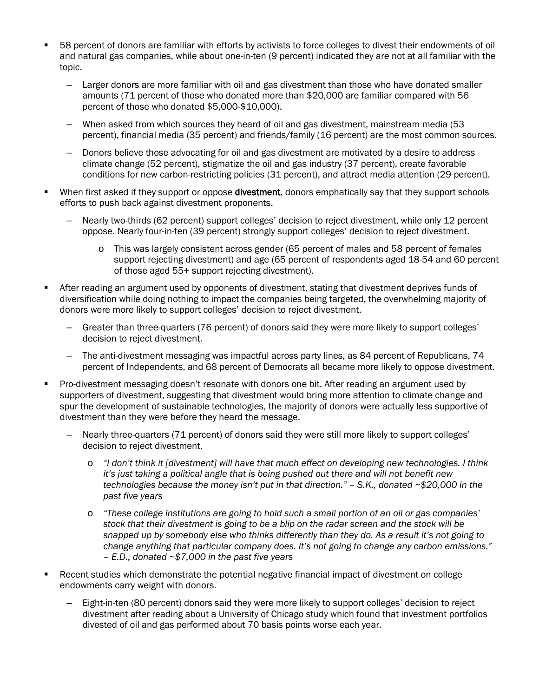- 58 percent of donors are familiar with efforts by activists to force colleges to divest their endowments of oil and natural gas companies, while about one-in-ten (9 percent) indicated they are not at all familiar with the topic.
	- ‒ Larger donors are more familiar with oil and gas divestment than those who have donated smaller amounts (71 percent of those who donated more than \$20,000 are familiar compared with 56 percent of those who donated \$5,000-\$10,000).
	- ‒ When asked from which sources they heard of oil and gas divestment, mainstream media (53 percent), financial media (35 percent) and friends/family (16 percent) are the most common sources.
	- ‒ Donors believe those advocating for oil and gas divestment are motivated by a desire to address climate change (52 percent), stigmatize the oil and gas industry (37 percent), create favorable conditions for new carbon-restricting policies (31 percent), and attract media attention (29 percent).
- When first asked if they support or oppose **divestment**, donors emphatically say that they support schools efforts to push back against divestment proponents.
	- ‒ Nearly two-thirds (62 percent) support colleges' decision to reject divestment, while only 12 percent oppose. Nearly four-in-ten (39 percent) strongly support colleges' decision to reject divestment.
		- o This was largely consistent across gender (65 percent of males and 58 percent of females support rejecting divestment) and age (65 percent of respondents aged 18-54 and 60 percent of those aged 55+ support rejecting divestment).
- After reading an argument used by opponents of divestment, stating that divestment deprives funds of diversification while doing nothing to impact the companies being targeted, the overwhelming majority of donors were more likely to support colleges' decision to reject divestment.
	- ‒ Greater than three-quarters (76 percent) of donors said they were more likely to support colleges' decision to reject divestment.
	- ‒ The anti-divestment messaging was impactful across party lines, as 84 percent of Republicans, 74 percent of Independents, and 68 percent of Democrats all became more likely to oppose divestment.
- Pro-divestment messaging doesn't resonate with donors one bit. After reading an argument used by supporters of divestment, suggesting that divestment would bring more attention to climate change and spur the development of sustainable technologies, the majority of donors were actually less supportive of divestment than they were before they heard the message.
	- ‒ Nearly three-quarters (71 percent) of donors said they were still more likely to support colleges' decision to reject divestment.
		- o *"I don't think it [divestment] will have that much effect on developing new technologies. I think it's just taking a political angle that is being pushed out there and will not benefit new technologies because the money isn't put in that direction." – S.K., donated ~\$20,000 in the past five years*
		- o *"These college institutions are going to hold such a small portion of an oil or gas companies' stock that their divestment is going to be a blip on the radar screen and the stock will be snapped up by somebody else who thinks differently than they do. As a result it's not going to change anything that particular company does. It's not going to change any carbon emissions." – E.D., donated ~\$7,000 in the past five years*
- Recent studies which demonstrate the potential negative financial impact of divestment on college endowments carry weight with donors.
	- ‒ Eight-in-ten (80 percent) donors said they were more likely to support colleges' decision to reject divestment after reading about a University of Chicago study which found that investment portfolios divested of oil and gas performed about 70 basis points worse each year.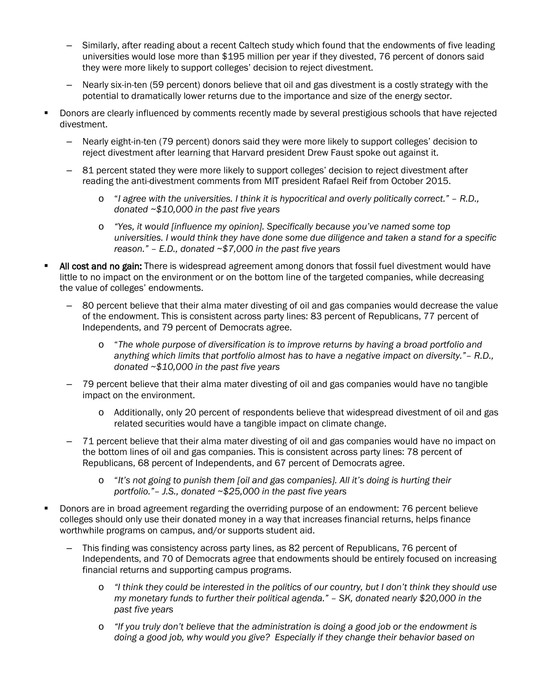- Similarly, after reading about a recent Caltech study which found that the endowments of five leading universities would lose more than \$195 million per year if they divested, 76 percent of donors said they were more likely to support colleges' decision to reject divestment.
- ‒ Nearly six-in-ten (59 percent) donors believe that oil and gas divestment is a costly strategy with the potential to dramatically lower returns due to the importance and size of the energy sector.
- Donors are clearly influenced by comments recently made by several prestigious schools that have rejected divestment.
	- ‒ Nearly eight-in-ten (79 percent) donors said they were more likely to support colleges' decision to reject divestment after learning that Harvard president Drew Faust spoke out against it.
	- ‒ 81 percent stated they were more likely to support colleges' decision to reject divestment after reading the anti-divestment comments from MIT president Rafael Reif from October 2015.
		- o "*I agree with the universities. I think it is hypocritical and overly politically correct." – R.D., donated ~\$10,000 in the past five years*
		- o *"Yes, it would [influence my opinion]. Specifically because you've named some top universities. I would think they have done some due diligence and taken a stand for a specific reason." – E.D., donated ~\$7,000 in the past five years*
- All cost and no gain: There is widespread agreement among donors that fossil fuel divestment would have little to no impact on the environment or on the bottom line of the targeted companies, while decreasing the value of colleges' endowments.
	- ‒ 80 percent believe that their alma mater divesting of oil and gas companies would decrease the value of the endowment. This is consistent across party lines: 83 percent of Republicans, 77 percent of Independents, and 79 percent of Democrats agree.
		- o "*The whole purpose of diversification is to improve returns by having a broad portfolio and anything which limits that portfolio almost has to have a negative impact on diversity."– R.D., donated ~\$10,000 in the past five years*
	- ‒ 79 percent believe that their alma mater divesting of oil and gas companies would have no tangible impact on the environment.
		- o Additionally, only 20 percent of respondents believe that widespread divestment of oil and gas related securities would have a tangible impact on climate change.
	- ‒ 71 percent believe that their alma mater divesting of oil and gas companies would have no impact on the bottom lines of oil and gas companies. This is consistent across party lines: 78 percent of Republicans, 68 percent of Independents, and 67 percent of Democrats agree.
		- o "*It's not going to punish them [oil and gas companies]. All it's doing is hurting their portfolio."– J.S., donated ~\$25,000 in the past five years*
- Donors are in broad agreement regarding the overriding purpose of an endowment: 76 percent believe colleges should only use their donated money in a way that increases financial returns, helps finance worthwhile programs on campus, and/or supports student aid.
	- ‒ This finding was consistency across party lines, as 82 percent of Republicans, 76 percent of Independents, and 70 of Democrats agree that endowments should be entirely focused on increasing financial returns and supporting campus programs.
		- o *"I think they could be interested in the politics of our country, but I don't think they should use my monetary funds to further their political agenda." – SK, donated nearly \$20,000 in the past five years*
		- o *"If you truly don't believe that the administration is doing a good job or the endowment is doing a good job, why would you give? Especially if they change their behavior based on*